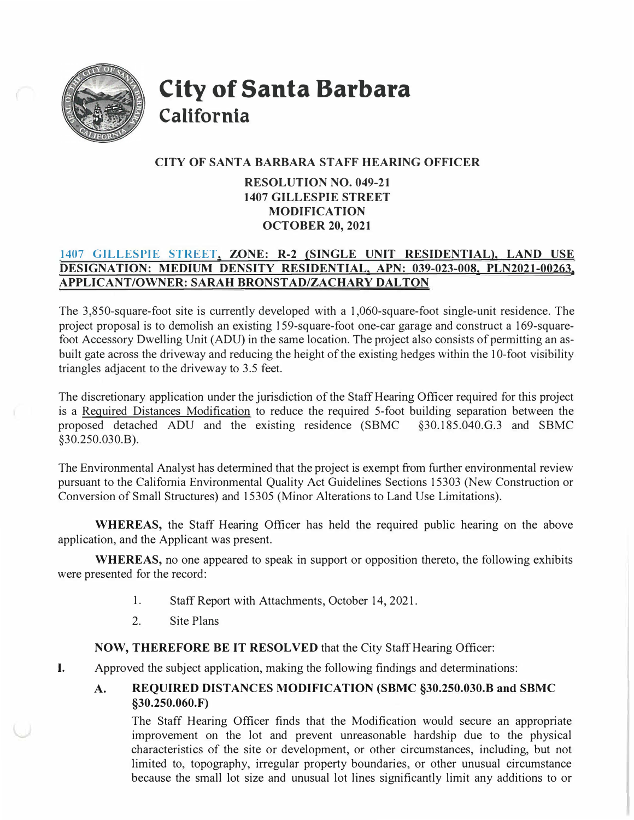

**City of Santa Barbara California** 

## **CITY OF SANT A BARBARA STAFF HEARING OFFICER**

## **RESOLUTION NO. 049-21 1407 GILLESPIE STREET MODIFICATION OCTOBER 20, 2021**

## **1407 GILLESPIE STREET, ZONE: R-2 (SINGLE UNIT RESIDENTIAL), LAND USE DESIGNATION: MEDIUM DENSITY RESIDENTIAL, APN: 039-023-008, PLN2021-00263, APPLICANT/OWNER: SARAH BRONSTAD/ZACHARY DAL TON**

The 3,850-square-foot site is currently developed with a 1,060-square-foot single-unit residence. The project proposal is to demolish an existing 159-square-foot one-car garage and construct a 169-squarefoot Accessory Dwelling Unit (ADU) in the same location. The project also consists of permitting an asbuilt gate across the driveway and reducing the height of the existing hedges within the 10-foot visibility triangles adjacent to the driveway to 3.5 feet.

The discretionary application under the jurisdiction of the Staff Hearing Officer required for this project is a Required Distances Modification to reduce the required 5-foot building separation between the proposed detached ADU and the existing residence (SBMC §30.185.040.G.3 and SBMC §30.250.030.B).

The Environmental Analyst has determined that the project is exempt from further environmental review pursuant to the California Environmental Quality Act Guidelines Sections 15303 (New Construction or Conversion of Small Structures) and 15305 (Minor Alterations to Land Use Limitations).

**WHEREAS,** the Staff Hearing Officer has held the required public hearing on the above application, and the Applicant was present.

**WHEREAS,** no one appeared to speak in support or opposition thereto, the following exhibits were presented for the record:

- 1. Staff Report with Attachments, October 14, 2021.
- 2.Site Plans

**NOW, THEREFORE BE IT RESOLVED** that the City Staff Hearing Officer:

- I. Approved the subject application, making the following findings and determinations:
	- **A. REQUIRED DISTANCES MODIFICATION (SBMC §30.250.030.B and SBMC §30.250.060.F)**

The Staff Hearing Officer finds that the Modification would secure an appropriate improvement on the lot and prevent unreasonable hardship due to the physical characteristics of the site or development, or other circumstances, including, but not limited to, topography, irregular property boundaries, or other unusual circumstance because the small lot size and unusual lot lines significantly limit any additions to or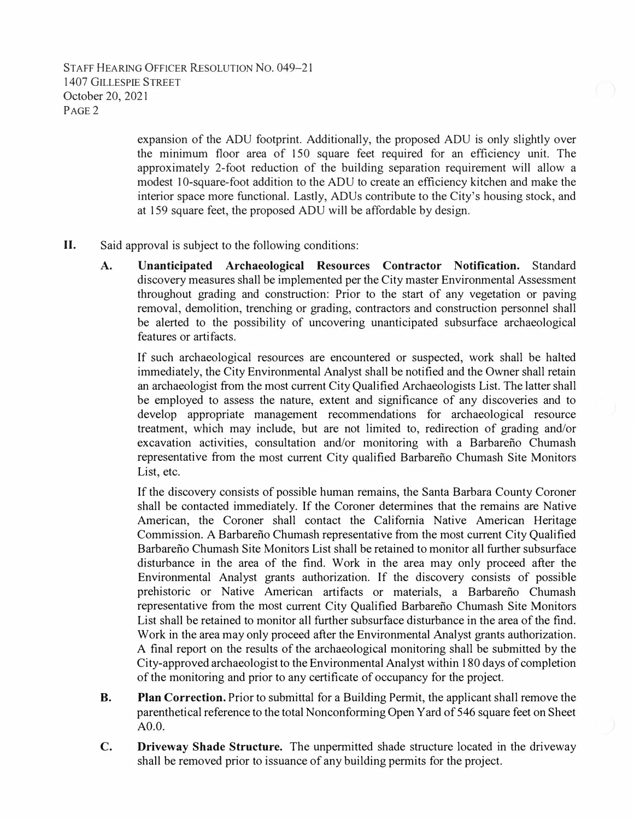expansion of the ADU footprint. Additionally, the proposed ADU is only slightly over the minimum floor area of 150 square feet required for an efficiency unit. The approximately 2-foot reduction of the building separation requirement will allow a modest I 0-square-foot addition to the ADU to create an efficiency kitchen and make the interior space more functional. Lastly, ADUs contribute to the City's housing stock, and at 159 square feet, the proposed ADU will be affordable by design.

- II. Said approval is subject to the following conditions:
	- **A. Unanticipated Archaeological Resources Contractor Notification.** Standard discovery measures shall be implemented per the City master Environmental Assessment throughout grading and construction: Prior to the start of any vegetation or paving removal, demolition, trenching or grading, contractors and construction personnel shall be alerted to the possibility of uncovering unanticipated subsurface archaeological features or artifacts.

If such archaeological resources are encountered or suspected, work shall be halted immediately, the City Environmental Analyst shall be notified and the Owner shall retain an archaeologist from the most current City Qualified Archaeologists List. The latter shall be employed to assess the nature, extent and significance of any discoveries and to develop appropriate management recommendations for archaeological resource treatment, which may include, but are not limited to, redirection of grading and/or excavation activities, consultation and/or monitoring with a Barbarefio Chumash representative from the most current City qualified Barbarefio Chumash Site Monitors List, etc.

If the discovery consists of possible human remains, the Santa Barbara County Coroner shall be contacted immediately. If the Coroner determines that the remains are Native American, the Coroner shall contact the California Native American Heritage Commission. A Barbarefio Chumash representative from the most current City Qualified Barbarefio Chumash Site Monitors List shall be retained to monitor all further subsurface disturbance in the area of the find. Work in the area may only proceed after the Environmental Analyst grants authorization. If the discovery consists of possible prehistoric or Native American artifacts or materials, a Barbarefio Chumash representative from the most current City Qualified Barbarefio Chumash Site Monitors List shall be retained to monitor all further subsurface disturbance in the area of the find. Work in the area may only proceed after the Environmental Analyst grants authorization. A final report on the results of the archaeological monitoring shall be submitted by the City-approved archaeologist to the Environmental Analyst within 180 days of completion of the monitoring and prior to any certificate of occupancy for the project.

- **B. Plan Correction.** Prior to submittal for a Building Permit, the applicant shall remove the parenthetical reference to the total Nonconforming Open Yard of 546 square feet on Sheet AO.O.
- **C. Driveway Shade Structure.** The unpermitted shade structure located in the driveway shall be removed prior to issuance of any building permits for the project.